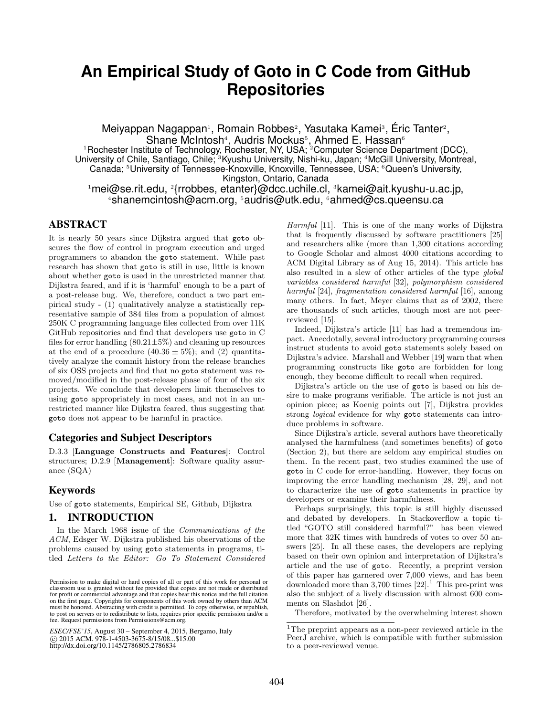# **An Empirical Study of Goto in C Code from GitHub Repositories**

Meiyappan Nagappan<sup>1</sup>, Romain Robbes<sup>2</sup>, Yasutaka Kamei<sup>3</sup>, Eric Tanter<sup>2</sup>, Shane McIntosh $^{\rm 4}$ , Audris Mockus $^{\rm 5}$ , Ahmed E. Hassan $^{\rm 6}$ <sup>1</sup>Rochester Institute of Technology, Rochester, NY, USA; <sup>2</sup>Computer Science Department (DCC), University of Chile, Santiago, Chile; <sup>3</sup>Kyushu University, Nishi-ku, Japan; <sup>4</sup>McGill University, Montreal, Canada; <sup>5</sup>University of Tennessee-Knoxville, Knoxville, Tennessee, USA; <sup>6</sup>Queen's University, Kingston, Ontario, Canada

 $^{\rm 1}$ mei@se.rit.edu,  $^{\rm 2}$ {rrobbes, etanter}@dcc.uchile.cl,  $^{\rm 3}$ kamei@ait.kyushu-u.ac.jp, <sup>4</sup>shanemcintosh@acm.org, <sup>5</sup>audris@utk.edu, <sup>6</sup>ahmed@cs.queensu.ca

### ABSTRACT

It is nearly 50 years since Dijkstra argued that goto obscures the flow of control in program execution and urged programmers to abandon the goto statement. While past research has shown that goto is still in use, little is known about whether goto is used in the unrestricted manner that Dijkstra feared, and if it is 'harmful' enough to be a part of a post-release bug. We, therefore, conduct a two part empirical study - (1) qualitatively analyze a statistically representative sample of 384 files from a population of almost 250K C programming language files collected from over 11K GitHub repositories and find that developers use goto in C files for error handling  $(80.21 \pm 5\%)$  and cleaning up resources at the end of a procedure  $(40.36 \pm 5\%)$ ; and  $(2)$  quantitatively analyze the commit history from the release branches of six OSS projects and find that no goto statement was removed/modified in the post-release phase of four of the six projects. We conclude that developers limit themselves to using goto appropriately in most cases, and not in an unrestricted manner like Dijkstra feared, thus suggesting that goto does not appear to be harmful in practice.

### Categories and Subject Descriptors

D.3.3 [Language Constructs and Features]: Control structures; D.2.9 [Management]: Software quality assurance (SQA)

### Keywords

Use of goto statements, Empirical SE, Github, Dijkstra

### 1. INTRODUCTION

In the March 1968 issue of the Communications of the ACM, Edsger W. Dijkstra published his observations of the problems caused by using goto statements in programs, titled Letters to the Editor: Go To Statement Considered

*ESEC/FSE'15*, August 30 – September 4, 2015, Bergamo, Italy c 2015 ACM. 978-1-4503-3675-8/15/08...\$15.00 http://dx.doi.org/10.1145/2786805.2786834

Harmful [11]. This is one of the many works of Dijkstra that is frequently discussed by software practitioners [25] and researchers alike (more than 1,300 citations according to Google Scholar and almost 4000 citations according to ACM Digital Library as of Aug 15, 2014). This article has also resulted in a slew of other articles of the type global variables considered harmful [32], polymorphism considered harmful [24], fragmentation considered harmful [16], among many others. In fact, Meyer claims that as of 2002, there are thousands of such articles, though most are not peerreviewed [15].

Indeed, Dijkstra's article [11] has had a tremendous impact. Anecdotally, several introductory programming courses instruct students to avoid goto statements solely based on Dijkstra's advice. Marshall and Webber [19] warn that when programming constructs like goto are forbidden for long enough, they become difficult to recall when required.

Dijkstra's article on the use of goto is based on his desire to make programs verifiable. The article is not just an opinion piece; as Koenig points out [7], Dijkstra provides strong logical evidence for why goto statements can introduce problems in software.

Since Dijkstra's article, several authors have theoretically analysed the harmfulness (and sometimes benefits) of goto (Section 2), but there are seldom any empirical studies on them. In the recent past, two studies examined the use of goto in C code for error-handling. However, they focus on improving the error handling mechanism [28, 29], and not to characterize the use of goto statements in practice by developers or examine their harmfulness.

Perhaps surprisingly, this topic is still highly discussed and debated by developers. In Stackoverflow a topic titled "GOTO still considered harmful?" has been viewed more that 32K times with hundreds of votes to over 50 answers [25]. In all these cases, the developers are replying based on their own opinion and interpretation of Dijkstra's article and the use of goto. Recently, a preprint version of this paper has garnered over 7,000 views, and has been downloaded more than 3,700 times  $[22]$ .<sup>1</sup> This pre-print was also the subject of a lively discussion with almost 600 comments on Slashdot [26].

Therefore, motivated by the overwhelming interest shown

Permission to make digital or hard copies of all or part of this work for personal or classroom use is granted without fee provided that copies are not made or distributed for profit or commercial advantage and that copies bear this notice and the full citation on the first page. Copyrights for components of this work owned by others than ACM must be honored. Abstracting with credit is permitted. To copy otherwise, or republish, to post on servers or to redistribute to lists, requires prior specific permission and/or a fee. Request permissions from Permissions@acm.org.

 $^1\mathrm{The}$  preprint appears as a non-peer reviewed article in the PeerJ archive, which is compatible with further submission to a peer-reviewed venue.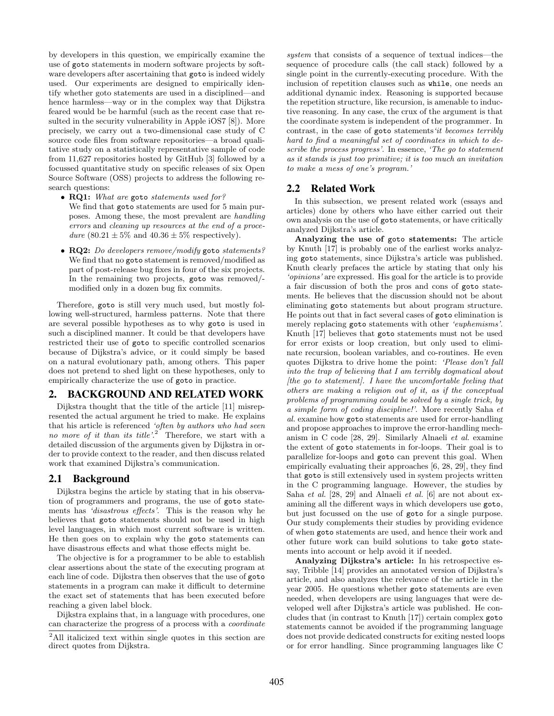by developers in this question, we empirically examine the use of goto statements in modern software projects by software developers after ascertaining that goto is indeed widely used. Our experiments are designed to empirically identify whether goto statements are used in a disciplined—and hence harmless—way or in the complex way that Dijkstra feared would be be harmful (such as the recent case that resulted in the security vulnerability in Apple iOS7 [8]). More precisely, we carry out a two-dimensional case study of C source code files from software repositories—a broad qualitative study on a statistically representative sample of code from 11,627 repositories hosted by GitHub [3] followed by a focussed quantitative study on specific releases of six Open Source Software (OSS) projects to address the following research questions:

- RQ1: What are goto statements used for? We find that goto statements are used for 5 main purposes. Among these, the most prevalent are handling errors and cleaning up resources at the end of a procedure  $(80.21 \pm 5\% \text{ and } 40.36 \pm 5\% \text{ respectively}).$
- $RQ2:$  Do developers remove/modify goto statements? We find that no goto statement is removed/modified as part of post-release bug fixes in four of the six projects. In the remaining two projects, goto was removed/ modified only in a dozen bug fix commits.

Therefore, goto is still very much used, but mostly following well-structured, harmless patterns. Note that there are several possible hypotheses as to why goto is used in such a disciplined manner. It could be that developers have restricted their use of goto to specific controlled scenarios because of Dijkstra's advice, or it could simply be based on a natural evolutionary path, among others. This paper does not pretend to shed light on these hypotheses, only to empirically characterize the use of goto in practice.

### 2. BACKGROUND AND RELATED WORK

Dijkstra thought that the title of the article [11] misrepresented the actual argument he tried to make. He explains that his article is referenced 'often by authors who had seen no more of it than its title<sup>'.2</sup> Therefore, we start with a detailed discussion of the arguments given by Dijkstra in order to provide context to the reader, and then discuss related work that examined Dijkstra's communication.

### 2.1 Background

Dijkstra begins the article by stating that in his observation of programmers and programs, the use of goto statements has 'disastrous effects'. This is the reason why he believes that goto statements should not be used in high level languages, in which most current software is written. He then goes on to explain why the goto statements can have disastrous effects and what those effects might be.

The objective is for a programmer to be able to establish clear assertions about the state of the executing program at each line of code. Dijkstra then observes that the use of goto statements in a program can make it difficult to determine the exact set of statements that has been executed before reaching a given label block.

Dijkstra explains that, in a language with procedures, one can characterize the progress of a process with a coordinate system that consists of a sequence of textual indices—the sequence of procedure calls (the call stack) followed by a single point in the currently-executing procedure. With the inclusion of repetition clauses such as while, one needs an additional dynamic index. Reasoning is supported because the repetition structure, like recursion, is amenable to inductive reasoning. In any case, the crux of the argument is that the coordinate system is independent of the programmer. In contrast, in the case of goto statements'it becomes terribly hard to find a meaningful set of coordinates in which to describe the process progress'. In essence, 'The go to statement as it stands is just too primitive; it is too much an invitation to make a mess of one's program.'

### 2.2 Related Work

In this subsection, we present related work (essays and articles) done by others who have either carried out their own analysis on the use of goto statements, or have critically analyzed Dijkstra's article.

Analyzing the use of goto statements: The article by Knuth [17] is probably one of the earliest works analyzing goto statements, since Dijkstra's article was published. Knuth clearly prefaces the article by stating that only his 'opinions' are expressed. His goal for the article is to provide a fair discussion of both the pros and cons of goto statements. He believes that the discussion should not be about eliminating goto statements but about program structure. He points out that in fact several cases of goto elimination is merely replacing goto statements with other 'euphemisms'. Knuth [17] believes that goto statements must not be used for error exists or loop creation, but only used to eliminate recursion, boolean variables, and co-routines. He even quotes Dijkstra to drive home the point: 'Please don't fall into the trap of believing that I am terribly dogmatical about  $[the qo to statement].$  I have the uncomfortable feeling that others are making a religion out of it, as if the conceptual problems of programming could be solved by a single trick, by a simple form of coding discipline!'. More recently Saha et al. examine how goto statements are used for error-handling and propose approaches to improve the error-handling mechanism in C code [28, 29]. Similarly Alnaeli et al. examine the extent of goto statements in for-loops. Their goal is to parallelize for-loops and goto can prevent this goal. When empirically evaluating their approaches [6, 28, 29], they find that goto is still extensively used in system projects written in the C programming language. However, the studies by Saha et al. [28, 29] and Alnaeli et al. [6] are not about examining all the different ways in which developers use goto, but just focussed on the use of goto for a single purpose. Our study complements their studies by providing evidence of when goto statements are used, and hence their work and other future work can build solutions to take goto statements into account or help avoid it if needed.

Analyzing Dijkstra's article: In his retrospective essay, Tribble [14] provides an annotated version of Dijkstra's article, and also analyzes the relevance of the article in the year 2005. He questions whether goto statements are even needed, when developers are using languages that were developed well after Dijkstra's article was published. He concludes that (in contrast to Knuth [17]) certain complex goto statements cannot be avoided if the programming language does not provide dedicated constructs for exiting nested loops or for error handling. Since programming languages like C

<sup>&</sup>lt;sup>2</sup>All italicized text within single quotes in this section are direct quotes from Dijkstra.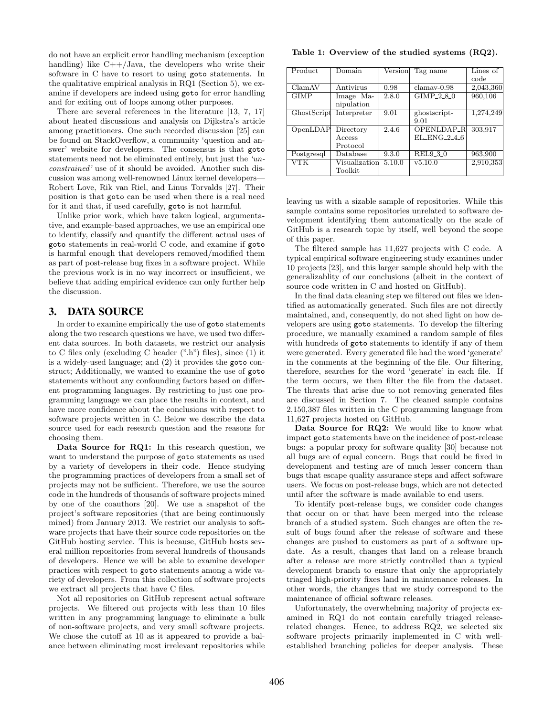do not have an explicit error handling mechanism (exception handling) like  $C++/Java$ , the developers who write their software in C have to resort to using goto statements. In the qualitative empirical analysis in RQ1 (Section 5), we examine if developers are indeed using goto for error handling and for exiting out of loops among other purposes.

There are several references in the literature [13, 7, 17] about heated discussions and analysis on Dijkstra's article among practitioners. One such recorded discussion [25] can be found on StackOverflow, a community 'question and answer' website for developers. The consensus is that goto statements need not be eliminated entirely, but just the 'unconstrained' use of it should be avoided. Another such discussion was among well-renowned Linux kernel developers— Robert Love, Rik van Riel, and Linus Torvalds [27]. Their position is that goto can be used when there is a real need for it and that, if used carefully, goto is not harmful.

Unlike prior work, which have taken logical, argumentative, and example-based approaches, we use an empirical one to identify, classify and quantify the different actual uses of goto statements in real-world C code, and examine if goto is harmful enough that developers removed/modified them as part of post-release bug fixes in a software project. While the previous work is in no way incorrect or insufficient, we believe that adding empirical evidence can only further help the discussion.

### 3. DATA SOURCE

In order to examine empirically the use of goto statements along the two research questions we have, we used two different data sources. In both datasets, we restrict our analysis to C files only (excluding C header (".h") files), since (1) it is a widely-used language; and (2) it provides the goto construct; Additionally, we wanted to examine the use of goto statements without any confounding factors based on different programming languages. By restricting to just one programming language we can place the results in context, and have more confidence about the conclusions with respect to software projects written in C. Below we describe the data source used for each research question and the reasons for choosing them.

Data Source for RQ1: In this research question, we want to understand the purpose of goto statements as used by a variety of developers in their code. Hence studying the programming practices of developers from a small set of projects may not be sufficient. Therefore, we use the source code in the hundreds of thousands of software projects mined by one of the coauthors [20]. We use a snapshot of the project's software repositories (that are being continuously mined) from January 2013. We restrict our analysis to software projects that have their source code repositories on the GitHub hosting service. This is because, GitHub hosts several million repositories from several hundreds of thousands of developers. Hence we will be able to examine developer practices with respect to goto statements among a wide variety of developers. From this collection of software projects we extract all projects that have C files.

Not all repositories on GitHub represent actual software projects. We filtered out projects with less than 10 files written in any programming language to eliminate a bulk of non-software projects, and very small software projects. We chose the cutoff at 10 as it appeared to provide a balance between eliminating most irrelevant repositories while

Table 1: Overview of the studied systems (RQ2).

| Product     | Domain                        | Version | Tag name                                    | $Lines$ of |
|-------------|-------------------------------|---------|---------------------------------------------|------------|
|             |                               |         |                                             | code       |
| ClamAV      | Antivirus                     | 0.98    | $clamav-0.98$                               | 2,043,360  |
| GIMP        | Image $\overline{\text{Ma-}}$ | 2.8.0   | $GIMP_2 8.0$                                | 960,106    |
|             | nipulation                    |         |                                             |            |
| GhostScript | Interpreter                   | 9.01    | ghostscript-                                | 1,274,249  |
|             |                               |         | 9.01                                        |            |
| OpenLDAP    | Directory                     | 2.4.6   | OPENLDAP_R                                  | 303,917    |
|             | Access                        |         | $EL$ <sub>ENG</sub> $-2$ <sub>-4</sub> $-6$ |            |
|             | Protocol                      |         |                                             |            |
| Postgresql  | Database                      | 9.3.0   | REL9_3_0                                    | 963,900    |
| VTK         | Visualization                 | 5.10.0  | v5.10.0                                     | 2,910,353  |
|             | Toolkit                       |         |                                             |            |

leaving us with a sizable sample of repositories. While this sample contains some repositories unrelated to software development identifying them automatically on the scale of GitHub is a research topic by itself, well beyond the scope of this paper.

The filtered sample has 11,627 projects with C code. A typical empirical software engineering study examines under 10 projects [23], and this larger sample should help with the generalizablity of our conclusions (albeit in the context of source code written in C and hosted on GitHub).

In the final data cleaning step we filtered out files we identified as automatically generated. Such files are not directly maintained, and, consequently, do not shed light on how developers are using goto statements. To develop the filtering procedure, we manually examined a random sample of files with hundreds of goto statements to identify if any of them were generated. Every generated file had the word 'generate' in the comments at the beginning of the file. Our filtering, therefore, searches for the word 'generate' in each file. If the term occurs, we then filter the file from the dataset. The threats that arise due to not removing generated files are discussed in Section 7. The cleaned sample contains 2,150,387 files written in the C programming language from 11,627 projects hosted on GitHub.

Data Source for RQ2: We would like to know what impact goto statements have on the incidence of post-release bugs: a popular proxy for software quality [30] because not all bugs are of equal concern. Bugs that could be fixed in development and testing are of much lesser concern than bugs that escape quality assurance steps and affect software users. We focus on post-release bugs, which are not detected until after the software is made available to end users.

To identify post-release bugs, we consider code changes that occur on or that have been merged into the release branch of a studied system. Such changes are often the result of bugs found after the release of software and these changes are pushed to customers as part of a software update. As a result, changes that land on a release branch after a release are more strictly controlled than a typical development branch to ensure that only the appropriately triaged high-priority fixes land in maintenance releases. In other words, the changes that we study correspond to the maintenance of official software releases.

Unfortunately, the overwhelming majority of projects examined in RQ1 do not contain carefully triaged releaserelated changes. Hence, to address RQ2, we selected six software projects primarily implemented in C with wellestablished branching policies for deeper analysis. These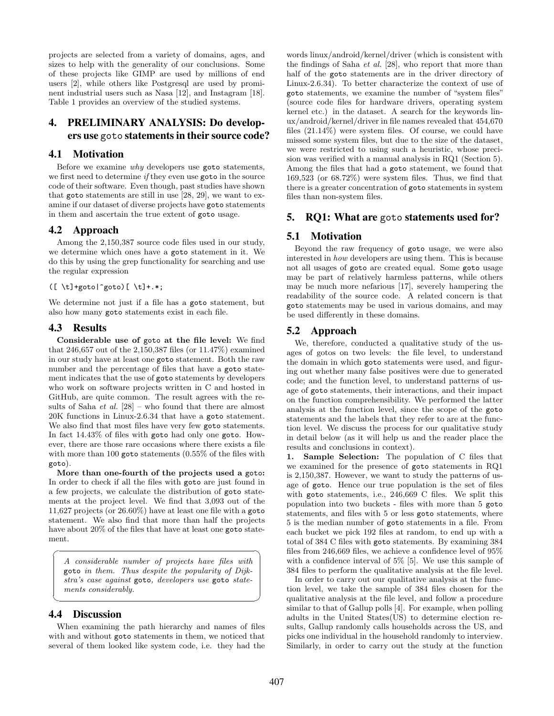projects are selected from a variety of domains, ages, and sizes to help with the generality of our conclusions. Some of these projects like GIMP are used by millions of end users [2], while others like Postgresql are used by prominent industrial users such as Nasa [12], and Instagram [18]. Table 1 provides an overview of the studied systems.

### 4. PRELIMINARY ANALYSIS: Do developers use goto statements in their source code?

### 4.1 Motivation

Before we examine why developers use goto statements, we first need to determine if they even use goto in the source code of their software. Even though, past studies have shown that goto statements are still in use [28, 29], we want to examine if our dataset of diverse projects have goto statements in them and ascertain the true extent of goto usage.

# 4.2 Approach

Among the 2,150,387 source code files used in our study, we determine which ones have a goto statement in it. We do this by using the grep functionality for searching and use the regular expression

 $([ \ t]+goto)^{\text{}}(t)$  \t] +.\*;

We determine not just if a file has a goto statement, but also how many goto statements exist in each file.

# 4.3 Results

Considerable use of goto at the file level: We find that 246,657 out of the 2,150,387 files (or 11.47%) examined in our study have at least one goto statement. Both the raw number and the percentage of files that have a goto statement indicates that the use of goto statements by developers who work on software projects written in C and hosted in GitHub, are quite common. The result agrees with the results of Saha *et al.*  $[28]$  – who found that there are almost 20K functions in Linux-2.6.34 that have a goto statement. We also find that most files have very few goto statements. In fact 14.43% of files with goto had only one goto. However, there are those rare occasions where there exists a file with more than 100 goto statements (0.55% of the files with goto).

More than one-fourth of the projects used a goto: In order to check if all the files with goto are just found in a few projects, we calculate the distribution of goto statements at the project level. We find that 3,093 out of the 11,627 projects (or 26.60%) have at least one file with a goto statement. We also find that more than half the projects have about 20% of the files that have at least one goto statement.

A considerable number of projects have files with goto in them. Thus despite the popularity of Dijkstra's case against goto, developers use goto statements considerably.

### 4.4 Discussion

 $\overline{C}$ 

 $\searrow$ 

When examining the path hierarchy and names of files with and without goto statements in them, we noticed that several of them looked like system code, i.e. they had the words linux/android/kernel/driver (which is consistent with the findings of Saha et al. [28], who report that more than half of the goto statements are in the driver directory of Linux-2.6.34). To better characterize the context of use of goto statements, we examine the number of "system files" (source code files for hardware drivers, operating system kernel etc.) in the dataset. A search for the keywords linux/android/kernel/driver in file names revealed that 454,670 files (21.14%) were system files. Of course, we could have missed some system files, but due to the size of the dataset, we were restricted to using such a heuristic, whose precision was verified with a manual analysis in RQ1 (Section 5). Among the files that had a goto statement, we found that 169,523 (or 68.72%) were system files. Thus, we find that there is a greater concentration of goto statements in system files than non-system files.

### 5. RQ1: What are goto statements used for?

# 5.1 Motivation

Beyond the raw frequency of goto usage, we were also interested in how developers are using them. This is because not all usages of goto are created equal. Some goto usage may be part of relatively harmless patterns, while others may be much more nefarious [17], severely hampering the readability of the source code. A related concern is that goto statements may be used in various domains, and may be used differently in these domains.

# 5.2 Approach

We, therefore, conducted a qualitative study of the usages of gotos on two levels: the file level, to understand the domain in which goto statements were used, and figuring out whether many false positives were due to generated code; and the function level, to understand patterns of usage of goto statements, their interactions, and their impact on the function comprehensibility. We performed the latter analysis at the function level, since the scope of the goto statements and the labels that they refer to are at the function level. We discuss the process for our qualitative study in detail below (as it will help us and the reader place the results and conclusions in context).

1. Sample Selection: The population of C files that we examined for the presence of goto statements in RQ1 is 2,150,387. However, we want to study the patterns of usage of goto. Hence our true population is the set of files with goto statements, i.e., 246,669 C files. We split this population into two buckets - files with more than 5 goto statements, and files with 5 or less goto statements, where 5 is the median number of goto statements in a file. From each bucket we pick 192 files at random, to end up with a total of 384 C files with goto statements. By examining 384 files from 246,669 files, we achieve a confidence level of 95% with a confidence interval of 5% [5]. We use this sample of 384 files to perform the qualitative analysis at the file level.

In order to carry out our qualitative analysis at the function level, we take the sample of 384 files chosen for the qualitative analysis at the file level, and follow a procedure similar to that of Gallup polls [4]. For example, when polling adults in the United States(US) to determine election results, Gallup randomly calls households across the US, and picks one individual in the household randomly to interview. Similarly, in order to carry out the study at the function

✠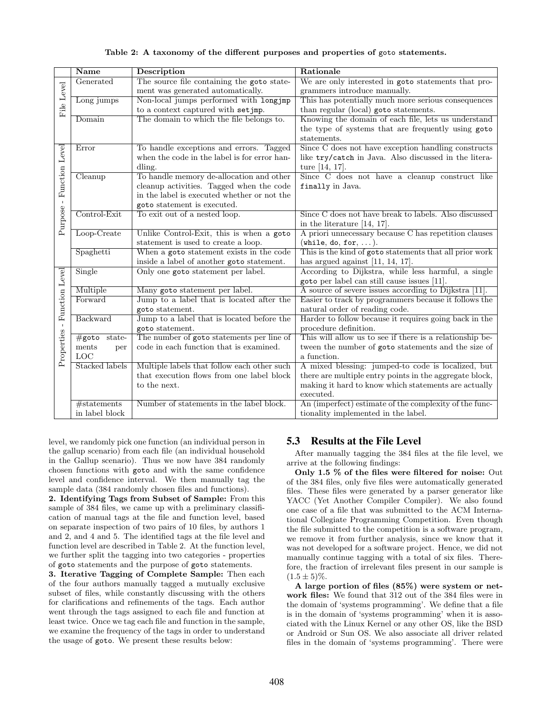|                  | <b>Name</b>        | Description                                                  | Rationale                                                                               |
|------------------|--------------------|--------------------------------------------------------------|-----------------------------------------------------------------------------------------|
|                  | Generated          | The source file containing the goto state-                   | We are only interested in goto statements that pro-                                     |
| File Level       |                    | ment was generated automatically.                            | grammers introduce manually.                                                            |
|                  | Long jumps         | Non-local jumps performed with longjmp                       | This has potentially much more serious consequences                                     |
|                  |                    | to a context captured with setjmp.                           | than regular (local) goto statements.                                                   |
|                  | Domain             | The domain to which the file belongs to.                     | Knowing the domain of each file, lets us understand                                     |
|                  |                    |                                                              | the type of systems that are frequently using goto                                      |
|                  |                    |                                                              | statements.                                                                             |
| - Function Level | Error              | To handle exceptions and errors. Tagged                      | Since C does not have exception handling constructs                                     |
|                  |                    | when the code in the label is for error han-                 | like try/catch in Java. Also discussed in the litera-                                   |
|                  |                    | dling.                                                       | ture [14, 17].                                                                          |
|                  | $C$ leanup         | To handle memory de-allocation and other                     | Since C does not have a cleanup construct like                                          |
|                  |                    | cleanup activities. Tagged when the code                     | finally in Java.                                                                        |
|                  |                    | in the label is executed whether or not the                  |                                                                                         |
| Purpose          | Control-Exit       | goto statement is executed.<br>To exit out of a nested loop. | Since C does not have break to labels. Also discussed                                   |
|                  |                    |                                                              |                                                                                         |
|                  | Loop-Create        | Unlike Control-Exit, this is when a goto                     | in the literature $[14, 17]$ .<br>A priori unnecessary because C has repetition clauses |
|                  |                    | statement is used to create a loop.                          | $(\text{while}, \text{do}, \text{for}, \dots).$                                         |
|                  | Spaghetti          | When a goto statement exists in the code                     | This is the kind of goto statements that all prior work                                 |
|                  |                    | inside a label of another goto statement.                    | has argued against $[11, 14, 17]$ .                                                     |
|                  | Single             | Only one goto statement per label.                           | According to Dijkstra, while less harmful, a single                                     |
|                  |                    |                                                              | goto per label can still cause issues [11].                                             |
| - Function Level | Multiple           | Many goto statement per label.                               | A source of severe issues according to Dijkstra [11].                                   |
|                  | Forward            | Jump to a label that is located after the                    | Easier to track by programmers because it follows the                                   |
|                  |                    | goto statement.                                              | natural order of reading code.                                                          |
|                  | Backward           | Jump to a label that is located before the                   | Harder to follow because it requires going back in the                                  |
|                  |                    | goto statement.                                              | procedure definition.                                                                   |
| Properties       | $#$ goto<br>state- | The number of goto statements per line of                    | This will allow us to see if there is a relationship be-                                |
|                  | ments<br>per       | code in each function that is examined.                      | tween the number of goto statements and the size of                                     |
|                  | <b>LOC</b>         |                                                              | a function.                                                                             |
|                  | Stacked labels     | Multiple labels that follow each other such                  | A mixed blessing: jumped-to code is localized, but                                      |
|                  |                    | that execution flows from one label block                    | there are multiple entry points in the aggregate block,                                 |
|                  |                    | to the next.                                                 | making it hard to know which statements are actually                                    |
|                  |                    |                                                              | executed.                                                                               |
|                  | $#$ statements     | Number of statements in the label block.                     | An (imperfect) estimate of the complexity of the func-                                  |
|                  | in label block     |                                                              | tionality implemented in the label.                                                     |

#### Table 2: A taxonomy of the different purposes and properties of goto statements.

level, we randomly pick one function (an individual person in the gallup scenario) from each file (an individual household in the Gallup scenario). Thus we now have 384 randomly chosen functions with goto and with the same confidence level and confidence interval. We then manually tag the sample data (384 randomly chosen files and functions).

2. Identifying Tags from Subset of Sample: From this sample of 384 files, we came up with a preliminary classification of manual tags at the file and function level, based on separate inspection of two pairs of 10 files, by authors 1 and 2, and 4 and 5. The identified tags at the file level and function level are described in Table 2. At the function level, we further split the tagging into two categories - properties of goto statements and the purpose of goto statements.

3. Iterative Tagging of Complete Sample: Then each of the four authors manually tagged a mutually exclusive subset of files, while constantly discussing with the others for clarifications and refinements of the tags. Each author went through the tags assigned to each file and function at least twice. Once we tag each file and function in the sample, we examine the frequency of the tags in order to understand the usage of goto. We present these results below:

### 5.3 Results at the File Level

After manually tagging the 384 files at the file level, we arrive at the following findings:

Only 1.5 % of the files were filtered for noise: Out of the 384 files, only five files were automatically generated files. These files were generated by a parser generator like YACC (Yet Another Compiler Compiler). We also found one case of a file that was submitted to the ACM International Collegiate Programming Competition. Even though the file submitted to the competition is a software program, we remove it from further analysis, since we know that it was not developed for a software project. Hence, we did not manually continue tagging with a total of six files. Therefore, the fraction of irrelevant files present in our sample is  $(1.5 \pm 5)\%$ .

A large portion of files (85%) were system or network files: We found that 312 out of the 384 files were in the domain of 'systems programming'. We define that a file is in the domain of 'systems programming' when it is associated with the Linux Kernel or any other OS, like the BSD or Android or Sun OS. We also associate all driver related files in the domain of 'systems programming'. There were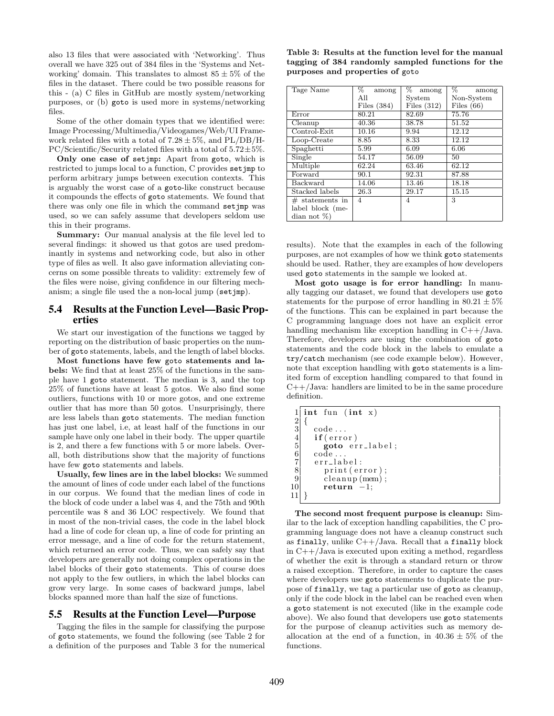also 13 files that were associated with 'Networking'. Thus overall we have 325 out of 384 files in the 'Systems and Networking' domain. This translates to almost  $85 \pm 5\%$  of the files in the dataset. There could be two possible reasons for this - (a) C files in GitHub are mostly system/networking purposes, or (b) goto is used more in systems/networking files.

Some of the other domain types that we identified were: Image Processing/Multimedia/Videogames/Web/UI Framework related files with a total of  $7.28 \pm 5\%$ , and  $PL/DB/H$ - $PC/Scientific/Security related files with a total of 5.72 $\pm$ 5%.$ 

Only one case of setjmp: Apart from goto, which is restricted to jumps local to a function, C provides setjmp to perform arbitrary jumps between execution contexts. This is arguably the worst case of a goto-like construct because it compounds the effects of goto statements. We found that there was only one file in which the command setjmp was used, so we can safely assume that developers seldom use this in their programs.

Summary: Our manual analysis at the file level led to several findings: it showed us that gotos are used predominantly in systems and networking code, but also in other type of files as well. It also gave information alleviating concerns on some possible threats to validity: extremely few of the files were noise, giving confidence in our filtering mechanism; a single file used the a non-local jump (setjmp).

### 5.4 Results at the Function Level—Basic Properties

We start our investigation of the functions we tagged by reporting on the distribution of basic properties on the number of goto statements, labels, and the length of label blocks.

Most functions have few goto statements and labels: We find that at least 25% of the functions in the sample have 1 goto statement. The median is 3, and the top 25% of functions have at least 5 gotos. We also find some outliers, functions with 10 or more gotos, and one extreme outlier that has more than 50 gotos. Unsurprisingly, there are less labels than goto statements. The median function has just one label, i.e, at least half of the functions in our sample have only one label in their body. The upper quartile is 2, and there a few functions with 5 or more labels. Overall, both distributions show that the majority of functions have few goto statements and labels.

Usually, few lines are in the label blocks: We summed the amount of lines of code under each label of the functions in our corpus. We found that the median lines of code in the block of code under a label was 4, and the 75th and 90th percentile was 8 and 36 LOC respectively. We found that in most of the non-trivial cases, the code in the label block had a line of code for clean up, a line of code for printing an error message, and a line of code for the return statement, which returned an error code. Thus, we can safely say that developers are generally not doing complex operations in the label blocks of their goto statements. This of course does not apply to the few outliers, in which the label blocks can grow very large. In some cases of backward jumps, label blocks spanned more than half the size of functions.

### 5.5 Results at the Function Level—Purpose

Tagging the files in the sample for classifying the purpose of goto statements, we found the following (see Table 2 for a definition of the purposes and Table 3 for the numerical

Table 3: Results at the function level for the manual tagging of 384 randomly sampled functions for the purposes and properties of goto

| Tage Name          | $\%$<br>among | $\%$<br>among | $\%$<br>among |  |
|--------------------|---------------|---------------|---------------|--|
|                    | All           | System        | Non-System    |  |
|                    | Files $(384)$ | Files $(312)$ | Files $(66)$  |  |
| Error              | 80.21         | 82.69         | 75.76         |  |
| $C$ leanup         | 40.36         | 38.78         | 51.52         |  |
| Control-Exit       | 10.16         | 9.94          | 12.12         |  |
| Loop-Create        | 8.85          | 8.33          | 12.12         |  |
| Spaghetti          | 5.99          | 6.09          | 6.06          |  |
| Single             | 54.17         | 56.09         | 50            |  |
| Multiple           | 62.24         | 63.46         | 62.12         |  |
| Forward            | 90.1          | 92.31         | 87.88         |  |
| Backward           | 14.06         | 13.46         | 18.18         |  |
| Stacked labels     | 26.3          | 29.17         | 15.15         |  |
| $\#$ statements in | 4             | 4             | 3             |  |
| label block (me-   |               |               |               |  |
| $dian not \%$      |               |               |               |  |

results). Note that the examples in each of the following purposes, are not examples of how we think goto statements should be used. Rather, they are examples of how developers used goto statements in the sample we looked at.

Most goto usage is for error handling: In manually tagging our dataset, we found that developers use goto statements for the purpose of error handling in  $80.21 \pm 5\%$ of the functions. This can be explained in part because the C programming language does not have an explicit error handling mechanism like exception handling in C++/Java. Therefore, developers are using the combination of goto statements and the code block in the labels to emulate a try/catch mechanism (see code example below). However, note that exception handling with goto statements is a limited form of exception handling compared to that found in  $C++/Java:$  handlers are limited to be in the same procedure definition.

| $1$ int fun (int x) |                                |
|---------------------|--------------------------------|
|                     |                                |
| $code \ldots$       |                                |
| if(error)           |                                |
| goto err_label;     |                                |
| $code \ldots$       |                                |
| $err\_label$ :      |                                |
|                     |                                |
|                     |                                |
| $return -1$ :       |                                |
|                     |                                |
|                     | print(error);<br>cleanup(mem); |

The second most frequent purpose is cleanup: Similar to the lack of exception handling capabilities, the C programming language does not have a cleanup construct such as finally, unlike  $C++/Java$ . Recall that a finally block in C++/Java is executed upon exiting a method, regardless of whether the exit is through a standard return or throw a raised exception. Therefore, in order to capture the cases where developers use goto statements to duplicate the purpose of finally, we tag a particular use of goto as cleanup, only if the code block in the label can be reached even when a goto statement is not executed (like in the example code above). We also found that developers use goto statements for the purpose of cleanup activities such as memory deallocation at the end of a function, in  $40.36 \pm 5\%$  of the functions.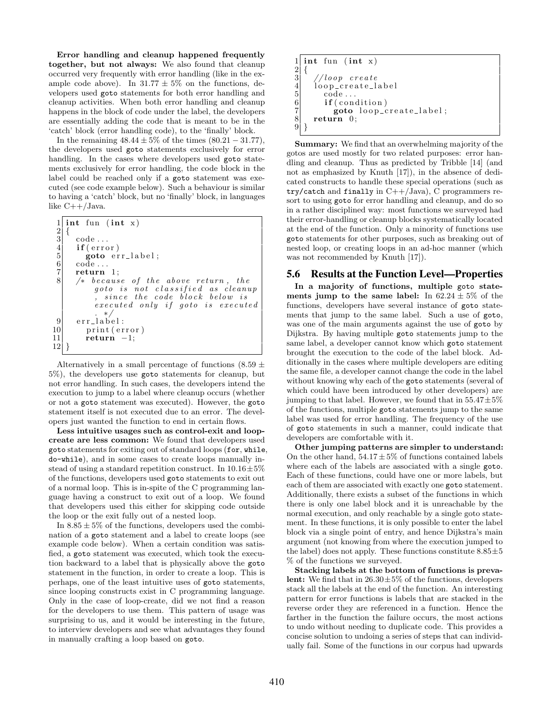Error handling and cleanup happened frequently together, but not always: We also found that cleanup occurred very frequently with error handling (like in the example code above). In  $31.77 \pm 5\%$  on the functions, developers used goto statements for both error handling and cleanup activities. When both error handling and cleanup happens in the block of code under the label, the developers are essentially adding the code that is meant to be in the 'catch' block (error handling code), to the 'finally' block.

In the remaining  $48.44 \pm 5\%$  of the times  $(80.21 - 31.77)$ , the developers used goto statements exclusively for error handling. In the cases where developers used goto statements exclusively for error handling, the code block in the label could be reached only if a goto statement was executed (see code example below). Such a behaviour is similar to having a 'catch' block, but no 'finally' block, in languages like C++/Java.

```
1 int fun (int x)
 \begin{bmatrix} 2 \\ 3 \end{bmatrix}\begin{bmatrix} 3 \\ 4 \end{bmatrix} code ...
 \begin{bmatrix} 4 \\ 5 \end{bmatrix} if (error)<br>goto er
 \begin{bmatrix} 5 \\ 6 \end{bmatrix} goto err_label;
 \begin{array}{c|c} 6 & \text{code} \dots \\ 7 & \text{return} \end{array}return 1;
 8 /* because of the above return, the
                 goto is not classified as cleanup
                    since the code block below isexecuted only if goto is executed
                 . ∗/
\begin{array}{c|c} 9 & \text{err\_label}: \\ 10 & \text{print (er)} \end{array}print ( error )
11 return -1;
12 }
```
Alternatively in a small percentage of functions  $(8.59 \pm 1)$ 5%), the developers use goto statements for cleanup, but not error handling. In such cases, the developers intend the execution to jump to a label where cleanup occurs (whether or not a goto statement was executed). However, the goto statement itself is not executed due to an error. The developers just wanted the function to end in certain flows.

Less intuitive usages such as control-exit and loopcreate are less common: We found that developers used goto statements for exiting out of standard loops (for, while, do-while), and in some cases to create loops manually instead of using a standard repetition construct. In  $10.16 \pm 5\%$ of the functions, developers used goto statements to exit out of a normal loop. This is in-spite of the C programming language having a construct to exit out of a loop. We found that developers used this either for skipping code outside the loop or the exit fully out of a nested loop.

In  $8.85 \pm 5\%$  of the functions, developers used the combination of a goto statement and a label to create loops (see example code below). When a certain condition was satisfied, a goto statement was executed, which took the execution backward to a label that is physically above the goto statement in the function, in order to create a loop. This is perhaps, one of the least intuitive uses of goto statements, since looping constructs exist in C programming language. Only in the case of loop-create, did we not find a reason for the developers to use them. This pattern of usage was surprising to us, and it would be interesting in the future, to interview developers and see what advantages they found in manually crafting a loop based on goto.

```
1 int fun (int x)
\frac{2}{3}\begin{array}{c} 3 \\ 4 \end{array} //loop create_1.
\begin{array}{c|c} 4 & \text{loop\_create\_label} \\ 5 & \text{code} \end{array}\begin{array}{c|c} 5 & \text{code} \ . & \ \hline 6 & \text{if (con} \ \hline 7 & \text{goto} \ 8 & \text{return } 0 \end{array}if (condition)goto loop_create_label;
            return 0;
\overline{9}
```
Summary: We find that an overwhelming majority of the gotos are used mostly for two related purposes: error handling and cleanup. Thus as predicted by Tribble [14] (and not as emphasized by Knuth [17]), in the absence of dedicated constructs to handle these special operations (such as try/catch and finally in C++/Java), C programmers resort to using goto for error handling and cleanup, and do so in a rather disciplined way: most functions we surveyed had their error-handling or cleanup blocks systematically located at the end of the function. Only a minority of functions use goto statements for other purposes, such as breaking out of nested loop, or creating loops in an ad-hoc manner (which was not recommended by Knuth [17]).

### 5.6 Results at the Function Level—Properties

In a majority of functions, multiple goto statements jump to the same label: In  $62.24 \pm 5\%$  of the functions, developers have several instance of goto statements that jump to the same label. Such a use of goto, was one of the main arguments against the use of goto by Dijkstra. By having multiple goto statements jump to the same label, a developer cannot know which goto statement brought the execution to the code of the label block. Additionally in the cases where multiple developers are editing the same file, a developer cannot change the code in the label without knowing why each of the goto statements (several of which could have been introduced by other developers) are jumping to that label. However, we found that in  $55.47 \pm 5\%$ of the functions, multiple goto statements jump to the same label was used for error handling. The frequency of the use of goto statements in such a manner, could indicate that developers are comfortable with it.

Other jumping patterns are simpler to understand: On the other hand,  $54.17\pm5\%$  of functions contained labels where each of the labels are associated with a single goto. Each of these functions, could have one or more labels, but each of them are associated with exactly one goto statement. Additionally, there exists a subset of the functions in which there is only one label block and it is unreachable by the normal execution, and only reachable by a single goto statement. In these functions, it is only possible to enter the label block via a single point of entry, and hence Dijkstra's main argument (not knowing from where the execution jumped to the label) does not apply. These functions constitute  $8.85 \pm 5$ % of the functions we surveyed.

Stacking labels at the bottom of functions is prevalent: We find that in  $26.30 \pm 5\%$  of the functions, developers stack all the labels at the end of the function. An interesting pattern for error functions is labels that are stacked in the reverse order they are referenced in a function. Hence the farther in the function the failure occurs, the most actions to undo without needing to duplicate code. This provides a concise solution to undoing a series of steps that can individually fail. Some of the functions in our corpus had upwards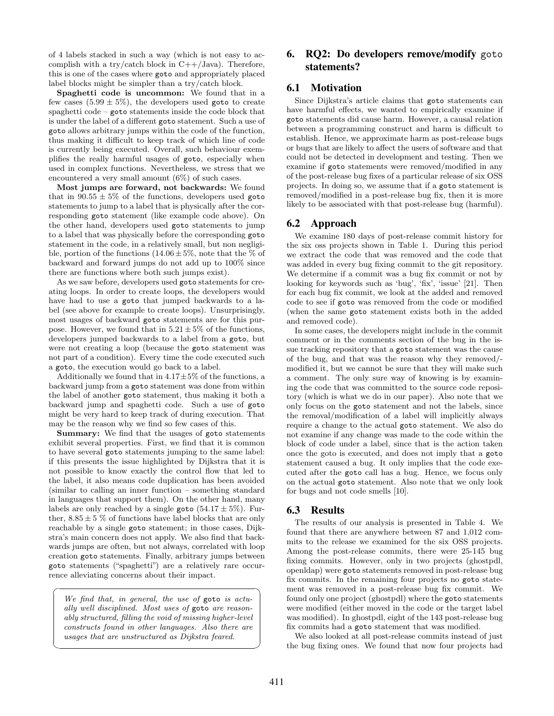of 4 labels stacked in such a way (which is not easy to accomplish with a try/catch block in  $C++/Java$ ). Therefore, this is one of the cases where goto and appropriately placed label blocks might be simpler than a try/catch block.

Spaghetti code is uncommon: We found that in a few cases  $(5.99 \pm 5\%)$ , the developers used goto to create spaghetti code – goto statements inside the code block that is under the label of a different goto statement. Such a use of goto allows arbitrary jumps within the code of the function, thus making it difficult to keep track of which line of code is currently being executed. Overall, such behaviour exemplifies the really harmful usages of goto, especially when used in complex functions. Nevertheless, we stress that we encountered a very small amount (6%) of such cases.

Most jumps are forward, not backwards: We found that in  $90.55 \pm 5\%$  of the functions, developers used goto statements to jump to a label that is physically after the corresponding goto statement (like example code above). On the other hand, developers used goto statements to jump to a label that was physically before the corresponding goto statement in the code, in a relatively small, but non negligible, portion of the functions  $(14.06 \pm 5\%$ , note that the % of backward and forward jumps do not add up to 100% since there are functions where both such jumps exist).

As we saw before, developers used goto statements for creating loops. In order to create loops, the developers would have had to use a goto that jumped backwards to a label (see above for example to create loops). Unsurprisingly, most usages of backward goto statements are for this purpose. However, we found that in  $5.21 \pm 5\%$  of the functions, developers jumped backwards to a label from a goto, but were not creating a loop (because the goto statement was not part of a condition). Every time the code executed such a goto, the execution would go back to a label.

Additionally we found that in  $4.17 \pm 5\%$  of the functions, a backward jump from a goto statement was done from within the label of another goto statement, thus making it both a backward jump and spaghetti code. Such a use of goto might be very hard to keep track of during execution. That may be the reason why we find so few cases of this.

Summary: We find that the usages of goto statements exhibit several properties. First, we find that it is common to have several goto statements jumping to the same label: if this presents the issue highlighted by Dijkstra that it is not possible to know exactly the control flow that led to the label, it also means code duplication has been avoided (similar to calling an inner function – something standard in languages that support them). On the other hand, many labels are only reached by a single goto  $(54.17 \pm 5\%)$ . Further,  $8.85 \pm 5$  % of functions have label blocks that are only reachable by a single goto statement; in those cases, Dijkstra's main concern does not apply. We also find that backwards jumps are often, but not always, correlated with loop creation goto statements. Finally, arbitrary jumps between goto statements ("spaghetti") are a relatively rare occurrence alleviating concerns about their impact.

We find that, in general, the use of goto is actually well disciplined. Most uses of goto are reasonably structured, filling the void of missing higher-level constructs found in other languages. Also there are usages that are unstructured as Dijkstra feared.

 $\overline{C}$ 

 $\searrow$ 

### 6. RQ2: Do developers remove/modify goto statements?

### 6.1 Motivation

Since Dijkstra's article claims that goto statements can have harmful effects, we wanted to empirically examine if goto statements did cause harm. However, a causal relation between a programming construct and harm is difficult to establish. Hence, we approximate harm as post-release bugs or bugs that are likely to affect the users of software and that could not be detected in development and testing. Then we examine if goto statements were removed/modified in any of the post-release bug fixes of a particular release of six OSS projects. In doing so, we assume that if a goto statement is removed/modified in a post-release bug fix, then it is more likely to be associated with that post-release bug (harmful).

### 6.2 Approach

We examine 180 days of post-release commit history for the six oss projects shown in Table 1. During this period we extract the code that was removed and the code that was added in every bug fixing commit to the git repository. We determine if a commit was a bug fix commit or not by looking for keywords such as 'bug', 'fix', 'issue' [21]. Then for each bug fix commit, we look at the added and removed code to see if goto was removed from the code or modified (when the same goto statement exists both in the added and removed code).

In some cases, the developers might include in the commit comment or in the comments section of the bug in the issue tracking repository that a goto statement was the cause of the bug, and that was the reason why they removed/ modified it, but we cannot be sure that they will make such a comment. The only sure way of knowing is by examining the code that was committed to the source code repository (which is what we do in our paper). Also note that we only focus on the goto statement and not the labels, since the removal/modification of a label will implicitly always require a change to the actual goto statement. We also do not examine if any change was made to the code within the block of code under a label, since that is the action taken once the goto is executed, and does not imply that a goto statement caused a bug. It only implies that the code executed after the goto call has a bug. Hence, we focus only on the actual goto statement. Also note that we only look for bugs and not code smells [10].

### 6.3 Results

The results of our analysis is presented in Table 4. We found that there are anywhere between 87 and 1,012 commits to the release we examined for the six OSS projects. Among the post-release commits, there were 25-145 bug fixing commits. However, only in two projects (ghostpdl, openldap) were goto statements removed in post-release bug fix commits. In the remaining four projects no goto statement was removed in a post-release bug fix commit. We found only one project (ghostpdl) where the goto statements were modified (either moved in the code or the target label was modified). In ghostpdl, eight of the 143 post-release bug fix commits had a goto statement that was modified.

We also looked at all post-release commits instead of just the bug fixing ones. We found that now four projects had

✟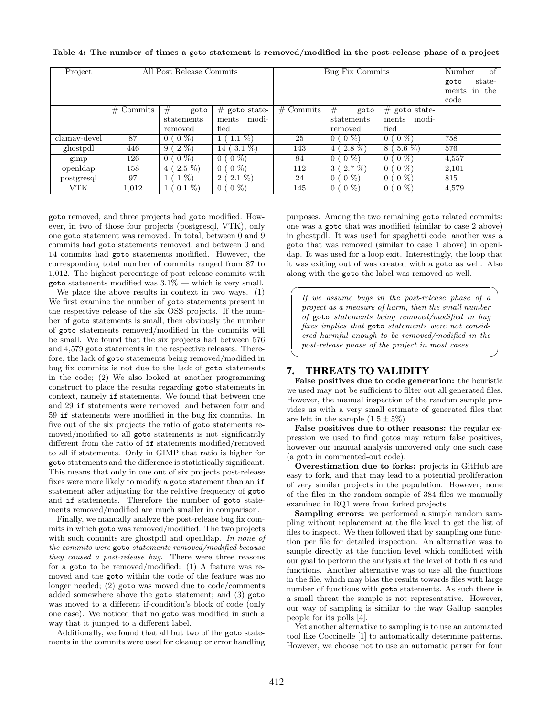| Project      | All Post Release Commits |                         |                           | Bug Fix Commits |                          |                           | Number | of     |
|--------------|--------------------------|-------------------------|---------------------------|-----------------|--------------------------|---------------------------|--------|--------|
|              |                          |                         |                           |                 |                          |                           | goto   | state- |
|              |                          |                         |                           |                 |                          | ments in the              |        |        |
|              |                          |                         |                           |                 |                          | code                      |        |        |
|              | $\#$ Commits             | #<br>goto               | $#$ goto state-           | $#$ Commits     | #<br>goto                | $#$ goto state-           |        |        |
|              |                          | statements              | ments modi-               |                 | statements               | ments modi-               |        |        |
|              |                          | removed                 | fied                      |                 | removed                  | fied                      |        |        |
| clamav-devel | 87                       | $0(0\%)$                | $1.1\%$<br>1              | 25              | $0(0\%)$                 | $0(0\%)$                  | 758    |        |
| ghostpdl     | 446                      | 2 %)<br>9               | 14 ( $3.1\%$ )            | 143             | $2.8\%$<br>4             | $5.6\%$<br>8              | 576    |        |
| gimp         | 126                      | $0(0\%)$                | $0\%$<br>0(               | 84              | $0\%$<br>0 <sub>0</sub>  | $0\%$<br>0 <sub>0</sub>   | 4,557  |        |
| opendap      | 158                      | $2.5\%$<br>4            | $0\%$<br>0 <sub>1</sub>   | 112             | $2.7\%$<br>3(            | $(0\%)$<br>0 <sup>0</sup> | 2,101  |        |
| postgresql   | 97                       | 1 %)<br>1               | $2.1\%$<br>$\overline{2}$ | 24              | $0 \%$<br>$\overline{0}$ | $0\%$<br>0 <sub>1</sub>   | 815    |        |
| VTK          | 1,012                    | $0.1\%$<br>$\mathbf{1}$ | $(0 \%)$<br>0(            | 145             | $0\%$<br>0 <sup>0</sup>  | $0\%$<br>$\overline{0}$   | 4,579  |        |

 $\sqrt{2}$ 

✍

Table 4: The number of times a goto statement is removed/modified in the post-release phase of a project

goto removed, and three projects had goto modified. However, in two of those four projects (postgresql, VTK), only one goto statement was removed. In total, between 0 and 9 commits had goto statements removed, and between 0 and 14 commits had goto statements modified. However, the corresponding total number of commits ranged from 87 to 1,012. The highest percentage of post-release commits with goto statements modified was  $3.1\%$  — which is very small.

We place the above results in context in two ways. (1) We first examine the number of goto statements present in the respective release of the six OSS projects. If the number of goto statements is small, then obviously the number of goto statements removed/modified in the commits will be small. We found that the six projects had between 576 and 4,579 goto statements in the respective releases. Therefore, the lack of goto statements being removed/modified in bug fix commits is not due to the lack of goto statements in the code; (2) We also looked at another programming construct to place the results regarding goto statements in context, namely if statements. We found that between one and 29 if statements were removed, and between four and 59 if statements were modified in the bug fix commits. In five out of the six projects the ratio of goto statements removed/modified to all goto statements is not significantly different from the ratio of if statements modified/removed to all if statements. Only in GIMP that ratio is higher for goto statements and the difference is statistically significant. This means that only in one out of six projects post-release fixes were more likely to modify a goto statement than an if statement after adjusting for the relative frequency of goto and if statements. Therefore the number of goto statements removed/modified are much smaller in comparison.

Finally, we manually analyze the post-release bug fix commits in which goto was removed/modified. The two projects with such commits are ghostpdl and openldap. In none of the commits were goto statements removed/modified because they caused a post-release bug. There were three reasons for a goto to be removed/modified: (1) A feature was removed and the goto within the code of the feature was no longer needed; (2) goto was moved due to code/comments added somewhere above the goto statement; and (3) goto was moved to a different if-condition's block of code (only one case). We noticed that no goto was modified in such a way that it jumped to a different label.

Additionally, we found that all but two of the goto statements in the commits were used for cleanup or error handling purposes. Among the two remaining goto related commits: one was a goto that was modified (similar to case 2 above) in ghostpdl. It was used for spaghetti code; another was a goto that was removed (similar to case 1 above) in openldap. It was used for a loop exit. Interestingly, the loop that it was exiting out of was created with a goto as well. Also along with the goto the label was removed as well.

If we assume bugs in the post-release phase of a project as a measure of harm, then the small number of goto statements being removed/modified in bug fixes implies that goto statements were not considered harmful enough to be removed/modified in the post-release phase of the project in most cases.

### 7. THREATS TO VALIDITY

False positives due to code generation: the heuristic we used may not be sufficient to filter out all generated files. However, the manual inspection of the random sample provides us with a very small estimate of generated files that are left in the sample  $(1.5 \pm 5\%)$ .

False positives due to other reasons: the regular expression we used to find gotos may return false positives, however our manual analysis uncovered only one such case (a goto in commented-out code).

Overestimation due to forks: projects in GitHub are easy to fork, and that may lead to a potential proliferation of very similar projects in the population. However, none of the files in the random sample of 384 files we manually examined in RQ1 were from forked projects.

Sampling errors: we performed a simple random sampling without replacement at the file level to get the list of files to inspect. We then followed that by sampling one function per file for detailed inspection. An alternative was to sample directly at the function level which conflicted with our goal to perform the analysis at the level of both files and functions. Another alternative was to use all the functions in the file, which may bias the results towards files with large number of functions with goto statements. As such there is a small threat the sample is not representative. However, our way of sampling is similar to the way Gallup samples people for its polls [4].

Yet another alternative to sampling is to use an automated tool like Coccinelle [1] to automatically determine patterns. However, we choose not to use an automatic parser for four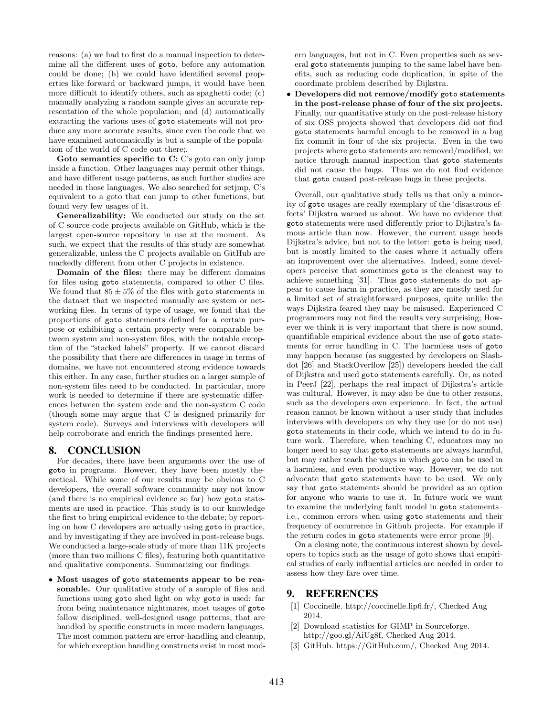reasons: (a) we had to first do a manual inspection to determine all the different uses of goto, before any automation could be done; (b) we could have identified several properties like forward or backward jumps, it would have been more difficult to identify others, such as spaghetti code; (c) manually analyzing a random sample gives an accurate representation of the whole population; and (d) automatically extracting the various uses of goto statements will not produce any more accurate results, since even the code that we have examined automatically is but a sample of the population of the world of C code out there;.

Goto semantics specific to C: C's goto can only jump inside a function. Other languages may permit other things, and have different usage patterns, as such further studies are needed in those languages. We also searched for setjmp, C's equivalent to a goto that can jump to other functions, but found very few usages of it.

Generalizability: We conducted our study on the set of C source code projects available on GitHub, which is the largest open-source repository in use at the moment. As such, we expect that the results of this study are somewhat generalizable, unless the C projects available on GitHub are markedly different from other C projects in existence.

Domain of the files: there may be different domains for files using goto statements, compared to other C files. We found that  $85 \pm 5\%$  of the files with goto statements in the dataset that we inspected manually are system or networking files. In terms of type of usage, we found that the proportions of goto statements defined for a certain purpose or exhibiting a certain property were comparable between system and non-system files, with the notable exception of the "stacked labels" property. If we cannot discard the possibility that there are differences in usage in terms of domains, we have not encountered strong evidence towards this either. In any case, further studies on a larger sample of non-system files need to be conducted. In particular, more work is needed to determine if there are systematic differences between the system code and the non-system C code (though some may argue that C is designed primarily for system code). Surveys and interviews with developers will help corroborate and enrich the findings presented here.

#### 8. CONCLUSION

For decades, there have been arguments over the use of goto in programs. However, they have been mostly theoretical. While some of our results may be obvious to C developers, the overall software community may not know (and there is no empirical evidence so far) how goto statements are used in practice. This study is to our knowledge the first to bring empirical evidence to the debate; by reporting on how C developers are actually using goto in practice, and by investigating if they are involved in post-release bugs. We conducted a large-scale study of more than 11K projects (more than two millions C files), featuring both quantitative and qualitative components. Summarizing our findings:

• Most usages of goto statements appear to be reasonable. Our qualitative study of a sample of files and functions using goto shed light on why goto is used: far from being maintenance nightmares, most usages of goto follow disciplined, well-designed usage patterns, that are handled by specific constructs in more modern languages. The most common pattern are error-handling and cleanup, for which exception handling constructs exist in most modern languages, but not in C. Even properties such as several goto statements jumping to the same label have benefits, such as reducing code duplication, in spite of the coordinate problem described by Dijkstra.

• Developers did not remove/modify goto statements in the post-release phase of four of the six projects. Finally, our quantitative study on the post-release history of six OSS projects showed that developers did not find goto statements harmful enough to be removed in a bug fix commit in four of the six projects. Even in the two projects where goto statements are removed/modified, we notice through manual inspection that goto statements did not cause the bugs. Thus we do not find evidence that goto caused post-release bugs in these projects.

Overall, our qualitative study tells us that only a minority of goto usages are really exemplary of the 'disastrous effects' Dijkstra warned us about. We have no evidence that goto statements were used differently prior to Dijkstra's famous article than now. However, the current usage heeds Dijkstra's advice, but not to the letter: goto is being used, but is mostly limited to the cases where it actually offers an improvement over the alternatives. Indeed, some developers perceive that sometimes goto is the cleanest way to achieve something [31]. Thus goto statements do not appear to cause harm in practice, as they are mostly used for a limited set of straightforward purposes, quite unlike the ways Dijkstra feared they may be misused. Experienced C programmers may not find the results very surprising; However we think it is very important that there is now sound, quantifiable empirical evidence about the use of goto statements for error handling in C. The harmless uses of goto may happen because (as suggested by developers on Slashdot [26] and StackOverflow [25]) developers heeded the call of Dijkstra and used goto statements carefully. Or, as noted in PeerJ [22], perhaps the real impact of Dijkstra's article was cultural. However, it may also be due to other reasons, such as the developers own experience. In fact, the actual reason cannot be known without a user study that includes interviews with developers on why they use (or do not use) goto statements in their code, which we intend to do in future work. Therefore, when teaching C, educators may no longer need to say that goto statements are always harmful, but may rather teach the ways in which goto can be used in a harmless, and even productive way. However, we do not advocate that goto statements have to be used. We only say that goto statements should be provided as an option for anyone who wants to use it. In future work we want to examine the underlying fault model in goto statements– i.e., common errors when using goto statements and their frequency of occurrence in Github projects. For example if the return codes in goto statements were error prone [9].

On a closing note, the continuous interest shown by developers to topics such as the usage of goto shows that empirical studies of early influential articles are needed in order to assess how they fare over time.

#### 9. REFERENCES

- [1] Coccinelle. http://coccinelle.lip6.fr/, Checked Aug 2014.
- [2] Download statistics for GIMP in Sourceforge. http://goo.gl/AiUg8f, Checked Aug 2014.
- [3] GitHub. https://GitHub.com/, Checked Aug 2014.